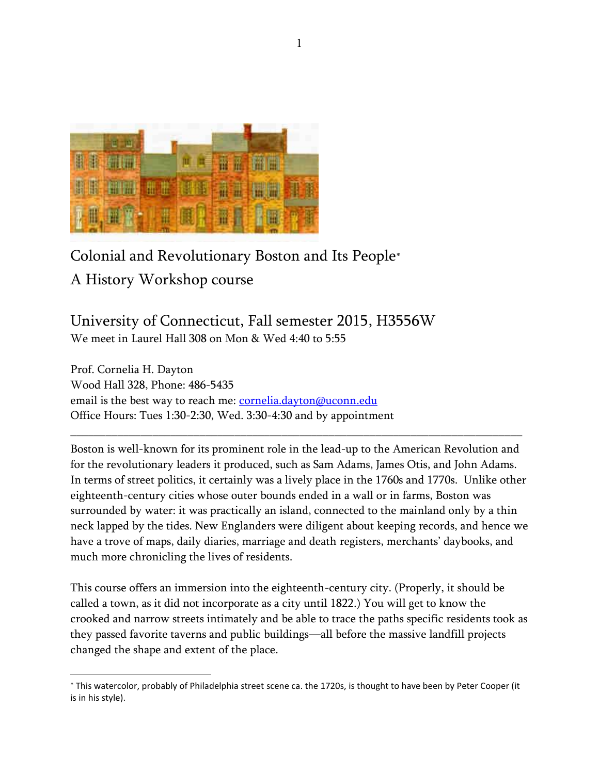

# Colonial and Revolutionary Boston and Its People

A History Workshop course

 $\overline{a}$ 

University of Connecticut, Fall semester 2015, H3556W We meet in Laurel Hall 308 on Mon & Wed 4:40 to 5:55

Prof. Cornelia H. Dayton Wood Hall 328, Phone: 486-5435 email is the best way to reach me: *cornelia.dayton@uconn.edu* Office Hours: Tues 1:30-2:30, Wed. 3:30-4:30 and by appointment

Boston is well-known for its prominent role in the lead-up to the American Revolution and for the revolutionary leaders it produced, such as Sam Adams, James Otis, and John Adams. In terms of street politics, it certainly was a lively place in the 1760s and 1770s. Unlike other eighteenth-century cities whose outer bounds ended in a wall or in farms, Boston was surrounded by water: it was practically an island, connected to the mainland only by a thin neck lapped by the tides. New Englanders were diligent about keeping records, and hence we have a trove of maps, daily diaries, marriage and death registers, merchants' daybooks, and much more chronicling the lives of residents.

\_\_\_\_\_\_\_\_\_\_\_\_\_\_\_\_\_\_\_\_\_\_\_\_\_\_\_\_\_\_\_\_\_\_\_\_\_\_\_\_\_\_\_\_\_\_\_\_\_\_\_\_\_\_\_\_\_\_\_\_\_\_\_\_\_\_\_\_\_\_\_\_\_\_\_\_\_

This course offers an immersion into the eighteenth-century city. (Properly, it should be called a town, as it did not incorporate as a city until 1822.) You will get to know the crooked and narrow streets intimately and be able to trace the paths specific residents took as they passed favorite taverns and public buildings—all before the massive landfill projects changed the shape and extent of the place.

This watercolor, probably of Philadelphia street scene ca. the 1720s, is thought to have been by Peter Cooper (it is in his style).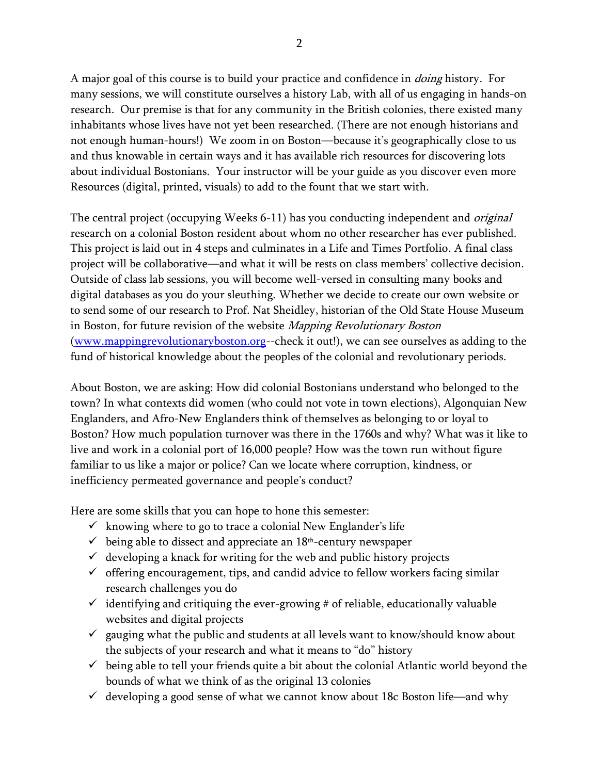A major goal of this course is to build your practice and confidence in *doing* history. For many sessions, we will constitute ourselves a history Lab, with all of us engaging in hands-on research. Our premise is that for any community in the British colonies, there existed many inhabitants whose lives have not yet been researched. (There are not enough historians and not enough human-hours!) We zoom in on Boston—because it's geographically close to us and thus knowable in certain ways and it has available rich resources for discovering lots about individual Bostonians. Your instructor will be your guide as you discover even more Resources (digital, printed, visuals) to add to the fount that we start with.

The central project (occupying Weeks 6-11) has you conducting independent and *original* research on a colonial Boston resident about whom no other researcher has ever published. This project is laid out in 4 steps and culminates in a Life and Times Portfolio. A final class project will be collaborative—and what it will be rests on class members' collective decision. Outside of class lab sessions, you will become well-versed in consulting many books and digital databases as you do your sleuthing. Whether we decide to create our own website or to send some of our research to Prof. Nat Sheidley, historian of the Old State House Museum in Boston, for future revision of the website *Mapping Revolutionary Boston* [\(www.mappingrevolutionaryboston.org-](http://www.mappingrevolutionaryboston.org/)-check it out!), we can see ourselves as adding to the fund of historical knowledge about the peoples of the colonial and revolutionary periods.

About Boston, we are asking: How did colonial Bostonians understand who belonged to the town? In what contexts did women (who could not vote in town elections), Algonquian New Englanders, and Afro-New Englanders think of themselves as belonging to or loyal to Boston? How much population turnover was there in the 1760s and why? What was it like to live and work in a colonial port of 16,000 people? How was the town run without figure familiar to us like a major or police? Can we locate where corruption, kindness, or inefficiency permeated governance and people's conduct?

Here are some skills that you can hope to hone this semester:

- $\checkmark$  knowing where to go to trace a colonial New Englander's life
- $\checkmark$  being able to dissect and appreciate an  $18<sup>th</sup>$ -century newspaper
- $\checkmark$  developing a knack for writing for the web and public history projects
- $\checkmark$  offering encouragement, tips, and candid advice to fellow workers facing similar research challenges you do
- $\checkmark$  identifying and critiquing the ever-growing # of reliable, educationally valuable websites and digital projects
- $\checkmark$  gauging what the public and students at all levels want to know/should know about the subjects of your research and what it means to "do" history
- $\checkmark$  being able to tell your friends quite a bit about the colonial Atlantic world beyond the bounds of what we think of as the original 13 colonies
- $\checkmark$  developing a good sense of what we cannot know about 18c Boston life—and why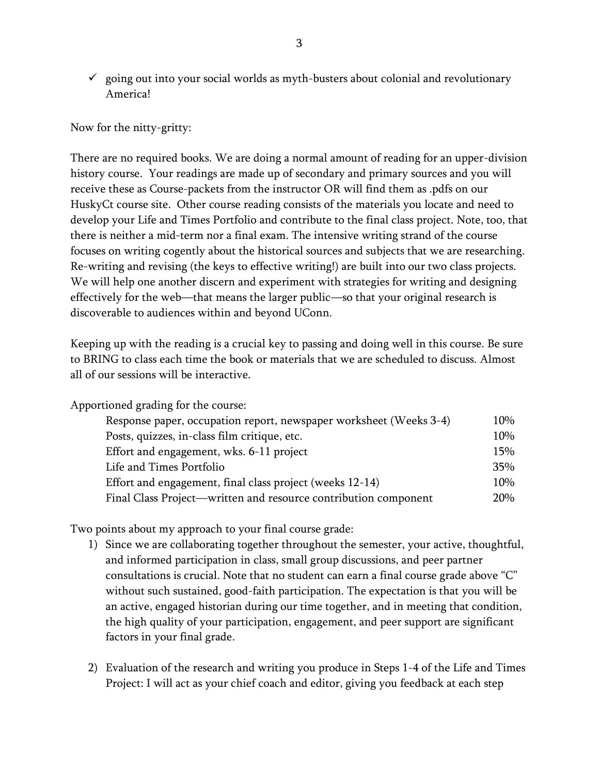$\checkmark$  going out into your social worlds as myth-busters about colonial and revolutionary America!

Now for the nitty-gritty:

There are no required books. We are doing a normal amount of reading for an upper-division history course. Your readings are made up of secondary and primary sources and you will receive these as Course-packets from the instructor OR will find them as .pdfs on our HuskyCt course site. Other course reading consists of the materials you locate and need to develop your Life and Times Portfolio and contribute to the final class project. Note, too, that there is neither a mid-term nor a final exam. The intensive writing strand of the course focuses on writing cogently about the historical sources and subjects that we are researching. Re-writing and revising (the keys to effective writing!) are built into our two class projects. We will help one another discern and experiment with strategies for writing and designing effectively for the web—that means the larger public—so that your original research is discoverable to audiences within and beyond UConn.

Keeping up with the reading is a crucial key to passing and doing well in this course. Be sure to BRING to class each time the book or materials that we are scheduled to discuss. Almost all of our sessions will be interactive.

Apportioned grading for the course:

| Response paper, occupation report, newspaper worksheet (Weeks 3-4) | 10% |
|--------------------------------------------------------------------|-----|
| Posts, quizzes, in-class film critique, etc.                       | 10% |
| Effort and engagement, wks. 6-11 project                           | 15% |
| Life and Times Portfolio                                           | 35% |
| Effort and engagement, final class project (weeks 12-14)           | 10% |
| Final Class Project—written and resource contribution component    | 20% |

Two points about my approach to your final course grade:

- 1) Since we are collaborating together throughout the semester, your active, thoughtful, and informed participation in class, small group discussions, and peer partner consultations is crucial. Note that no student can earn a final course grade above "C" without such sustained, good-faith participation. The expectation is that you will be an active, engaged historian during our time together, and in meeting that condition, the high quality of your participation, engagement, and peer support are significant factors in your final grade.
- 2) Evaluation of the research and writing you produce in Steps 1-4 of the Life and Times Project: I will act as your chief coach and editor, giving you feedback at each step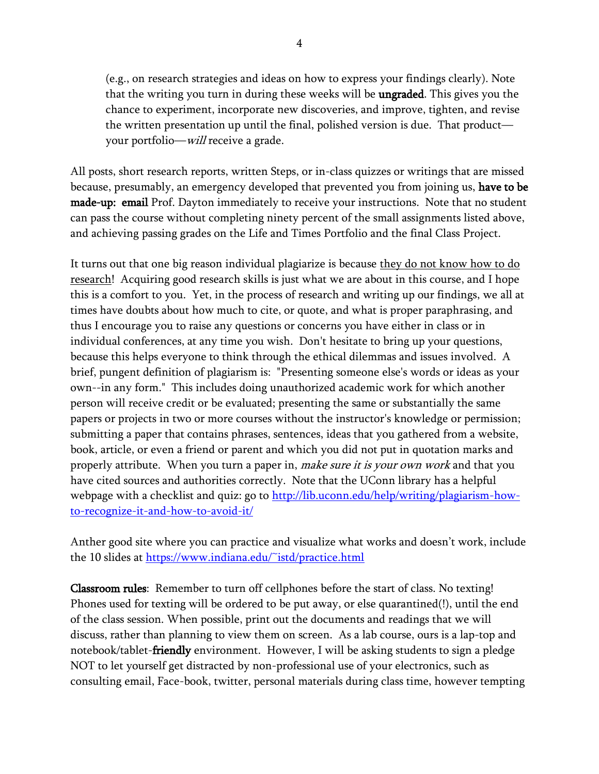(e.g., on research strategies and ideas on how to express your findings clearly). Note that the writing you turn in during these weeks will be **ungraded**. This gives you the chance to experiment, incorporate new discoveries, and improve, tighten, and revise the written presentation up until the final, polished version is due. That product your portfolio—will receive a grade.

All posts, short research reports, written Steps, or in-class quizzes or writings that are missed because, presumably, an emergency developed that prevented you from joining us, have to be made-up: email Prof. Dayton immediately to receive your instructions. Note that no student can pass the course without completing ninety percent of the small assignments listed above, and achieving passing grades on the Life and Times Portfolio and the final Class Project.

It turns out that one big reason individual plagiarize is because they do not know how to do research! Acquiring good research skills is just what we are about in this course, and I hope this is a comfort to you. Yet, in the process of research and writing up our findings, we all at times have doubts about how much to cite, or quote, and what is proper paraphrasing, and thus I encourage you to raise any questions or concerns you have either in class or in individual conferences, at any time you wish. Don't hesitate to bring up your questions, because this helps everyone to think through the ethical dilemmas and issues involved. A brief, pungent definition of plagiarism is: "Presenting someone else's words or ideas as your own--in any form." This includes doing unauthorized academic work for which another person will receive credit or be evaluated; presenting the same or substantially the same papers or projects in two or more courses without the instructor's knowledge or permission; submitting a paper that contains phrases, sentences, ideas that you gathered from a website, book, article, or even a friend or parent and which you did not put in quotation marks and properly attribute. When you turn a paper in, *make sure it is your own work* and that you have cited sources and authorities correctly. Note that the UConn library has a helpful webpage with a checklist and quiz: go to [http://lib.uconn.edu/help/writing/plagiarism-how](http://lib.uconn.edu/help/writing/plagiarism-how-to-recognize-it-and-how-to-avoid-it/)[to-recognize-it-and-how-to-avoid-it/](http://lib.uconn.edu/help/writing/plagiarism-how-to-recognize-it-and-how-to-avoid-it/)

Anther good site where you can practice and visualize what works and doesn't work, include the 10 slides at<https://www.indiana.edu/~istd/practice.html>

Classroom rules: Remember to turn off cellphones before the start of class. No texting! Phones used for texting will be ordered to be put away, or else quarantined(!), until the end of the class session. When possible, print out the documents and readings that we will discuss, rather than planning to view them on screen. As a lab course, ours is a lap-top and notebook/tablet-friendly environment. However, I will be asking students to sign a pledge NOT to let yourself get distracted by non-professional use of your electronics, such as consulting email, Face-book, twitter, personal materials during class time, however tempting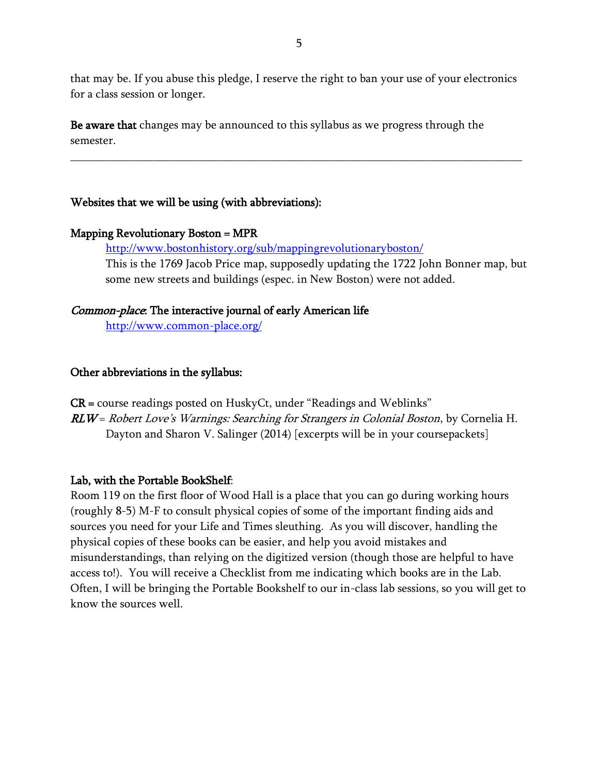that may be. If you abuse this pledge, I reserve the right to ban your use of your electronics for a class session or longer.

\_\_\_\_\_\_\_\_\_\_\_\_\_\_\_\_\_\_\_\_\_\_\_\_\_\_\_\_\_\_\_\_\_\_\_\_\_\_\_\_\_\_\_\_\_\_\_\_\_\_\_\_\_\_\_\_\_\_\_\_\_\_\_\_\_\_\_\_\_\_\_\_\_\_\_\_\_

Be aware that changes may be announced to this syllabus as we progress through the semester.

### Websites that we will be using (with abbreviations):

#### Mapping Revolutionary Boston = MPR

<http://www.bostonhistory.org/sub/mappingrevolutionaryboston/>

This is the 1769 Jacob Price map, supposedly updating the 1722 John Bonner map, but some new streets and buildings (espec. in New Boston) were not added.

### Common-place: The interactive journal of early American life

<http://www.common-place.org/>

### Other abbreviations in the syllabus:

 $CR = \text{course readings posted on HuskyCt, under "Readings and Weblinks"$ 

RLW = Robert Love's Warnings: Searching for Strangers in Colonial Boston, by Cornelia H. Dayton and Sharon V. Salinger (2014) [excerpts will be in your coursepackets]

### Lab, with the Portable BookShelf:

Room 119 on the first floor of Wood Hall is a place that you can go during working hours (roughly 8-5) M-F to consult physical copies of some of the important finding aids and sources you need for your Life and Times sleuthing. As you will discover, handling the physical copies of these books can be easier, and help you avoid mistakes and misunderstandings, than relying on the digitized version (though those are helpful to have access to!). You will receive a Checklist from me indicating which books are in the Lab. Often, I will be bringing the Portable Bookshelf to our in-class lab sessions, so you will get to know the sources well.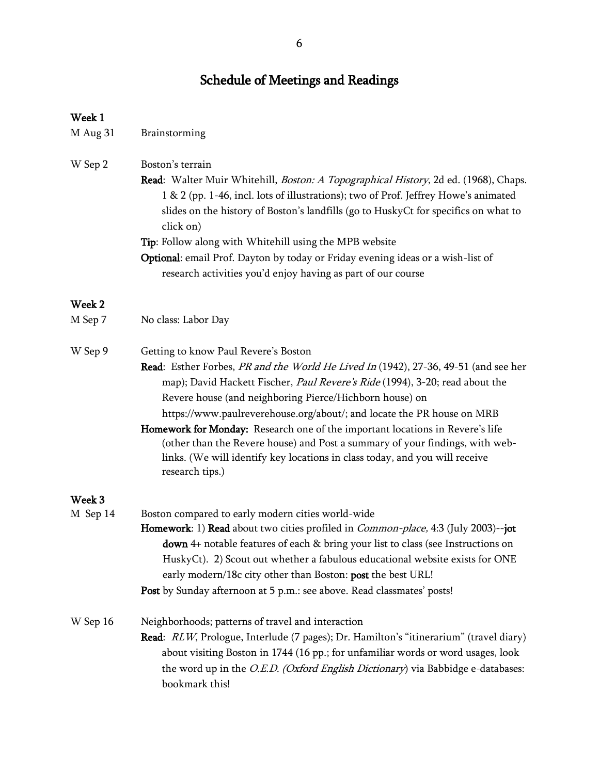## Schedule of Meetings and Readings

#### Week 1

| M Aug 31 | Brainstorming |
|----------|---------------|
|          |               |

- W Sep 2 Boston's terrain
	- Read: Walter Muir Whitehill, *Boston: A Topographical History*, 2d ed. (1968), Chaps. 1 & 2 (pp. 1-46, incl. lots of illustrations); two of Prof. Jeffrey Howe's animated slides on the history of Boston's landfills (go to HuskyCt for specifics on what to click on)
	- Tip: Follow along with Whitehill using the MPB website
	- Optional: email Prof. Dayton by today or Friday evening ideas or a wish-list of research activities you'd enjoy having as part of our course

#### Week 2

| M Sep 7 | No class: Labor Day |
|---------|---------------------|
|         |                     |

- W Sep 9 Getting to know Paul Revere's Boston Read: Esther Forbes, PR and the World He Lived In (1942), 27-36, 49-51 (and see her map); David Hackett Fischer, Paul Revere's Ride (1994), 3-20; read about the Revere house (and neighboring Pierce/Hichborn house) on https://www.paulreverehouse.org/about/; and locate the PR house on MRB
	- Homework for Monday: Research one of the important locations in Revere's life (other than the Revere house) and Post a summary of your findings, with weblinks. (We will identify key locations in class today, and you will receive research tips.)

#### Week 3

- M Sep 14 Boston compared to early modern cities world-wide
	- Homework: 1) Read about two cities profiled in *Common-place*, 4:3 (July 2003)--jot down 4+ notable features of each & bring your list to class (see Instructions on HuskyCt). 2) Scout out whether a fabulous educational website exists for ONE early modern/18c city other than Boston: post the best URL! Post by Sunday afternoon at 5 p.m.: see above. Read classmates' posts!

W Sep 16 Neighborhoods; patterns of travel and interaction Read: RLW, Prologue, Interlude (7 pages); Dr. Hamilton's "itinerarium" (travel diary) about visiting Boston in 1744 (16 pp.; for unfamiliar words or word usages, look the word up in the *O.E.D. (Oxford English Dictionary*) via Babbidge e-databases: bookmark this!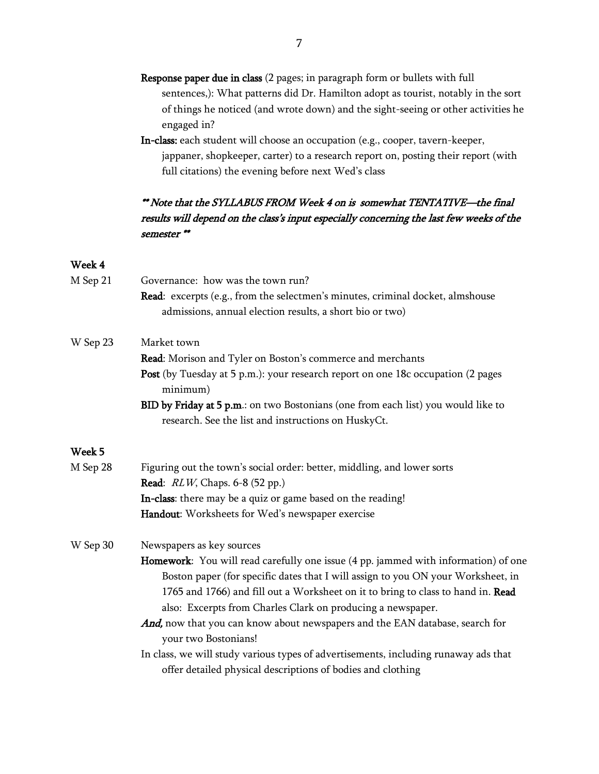- Response paper due in class (2 pages; in paragraph form or bullets with full sentences,): What patterns did Dr. Hamilton adopt as tourist, notably in the sort of things he noticed (and wrote down) and the sight-seeing or other activities he engaged in?
- In-class: each student will choose an occupation (e.g., cooper, tavern-keeper, jappaner, shopkeeper, carter) to a research report on, posting their report (with full citations) the evening before next Wed's class

## \*\* Note that the SYLLABUS FROM Week 4 on is somewhat TENTATIVE—the final results will depend on the class's input especially concerning the last few weeks of the semester \*\*

### Week 4

| M Sep 21 | Governance: how was the town run?                                                                                                                  |
|----------|----------------------------------------------------------------------------------------------------------------------------------------------------|
|          | Read: excerpts (e.g., from the selectmen's minutes, criminal docket, almshouse                                                                     |
|          | admissions, annual election results, a short bio or two)                                                                                           |
| W Sep 23 | Market town                                                                                                                                        |
|          | Read: Morison and Tyler on Boston's commerce and merchants                                                                                         |
|          | Post (by Tuesday at 5 p.m.): your research report on one 18c occupation (2 pages<br>minimum)                                                       |
|          | BID by Friday at 5 p.m.: on two Bostonians (one from each list) you would like to                                                                  |
|          | research. See the list and instructions on HuskyCt.                                                                                                |
| Week 5   |                                                                                                                                                    |
| M Sep 28 | Figuring out the town's social order: better, middling, and lower sorts                                                                            |
|          | <b>Read:</b> <i>RLW</i> , Chaps. 6-8 (52 pp.)                                                                                                      |
|          | In-class: there may be a quiz or game based on the reading!                                                                                        |
|          | Handout: Worksheets for Wed's newspaper exercise                                                                                                   |
| W Sep 30 | Newspapers as key sources                                                                                                                          |
|          | Homework: You will read carefully one issue (4 pp. jammed with information) of one                                                                 |
|          | Boston paper (for specific dates that I will assign to you ON your Worksheet, in                                                                   |
|          | 1765 and 1766) and fill out a Worksheet on it to bring to class to hand in. Read                                                                   |
|          | also: Excerpts from Charles Clark on producing a newspaper.                                                                                        |
|          | And, now that you can know about newspapers and the EAN database, search for                                                                       |
|          | your two Bostonians!                                                                                                                               |
|          | In class, we will study various types of advertisements, including runaway ads that<br>offer detailed physical descriptions of bodies and clothing |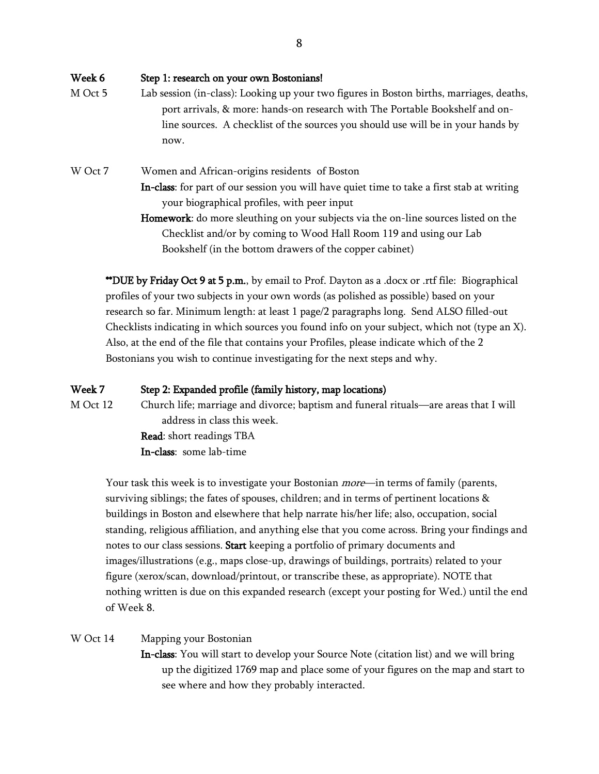Week 6 Step 1: research on your own Bostonians! M Oct 5 Lab session (in-class): Looking up your two figures in Boston births, marriages, deaths, port arrivals, & more: hands-on research with The Portable Bookshelf and online sources. A checklist of the sources you should use will be in your hands by now. W Oct 7 Women and African-origins residents of Boston In-class: for part of our session you will have quiet time to take a first stab at writing your biographical profiles, with peer input

Homework: do more sleuthing on your subjects via the on-line sources listed on the Checklist and/or by coming to Wood Hall Room 119 and using our Lab Bookshelf (in the bottom drawers of the copper cabinet)

\*\*DUE by Friday Oct 9 at 5 p.m., by email to Prof. Dayton as a .docx or .rtf file: Biographical profiles of your two subjects in your own words (as polished as possible) based on your research so far. Minimum length: at least 1 page/2 paragraphs long. Send ALSO filled-out Checklists indicating in which sources you found info on your subject, which not (type an X). Also, at the end of the file that contains your Profiles, please indicate which of the 2 Bostonians you wish to continue investigating for the next steps and why.

#### Week 7 Step 2: Expanded profile (family history, map locations)

M Oct 12 Church life; marriage and divorce; baptism and funeral rituals—are areas that I will address in class this week.

> Read: short readings TBA In-class: some lab-time

Your task this week is to investigate your Bostonian *more*—in terms of family (parents, surviving siblings; the fates of spouses, children; and in terms of pertinent locations & buildings in Boston and elsewhere that help narrate his/her life; also, occupation, social standing, religious affiliation, and anything else that you come across. Bring your findings and notes to our class sessions. Start keeping a portfolio of primary documents and images/illustrations (e.g., maps close-up, drawings of buildings, portraits) related to your figure (xerox/scan, download/printout, or transcribe these, as appropriate). NOTE that nothing written is due on this expanded research (except your posting for Wed.) until the end of Week 8.

#### W Oct 14 Mapping your Bostonian

In-class: You will start to develop your Source Note (citation list) and we will bring up the digitized 1769 map and place some of your figures on the map and start to see where and how they probably interacted.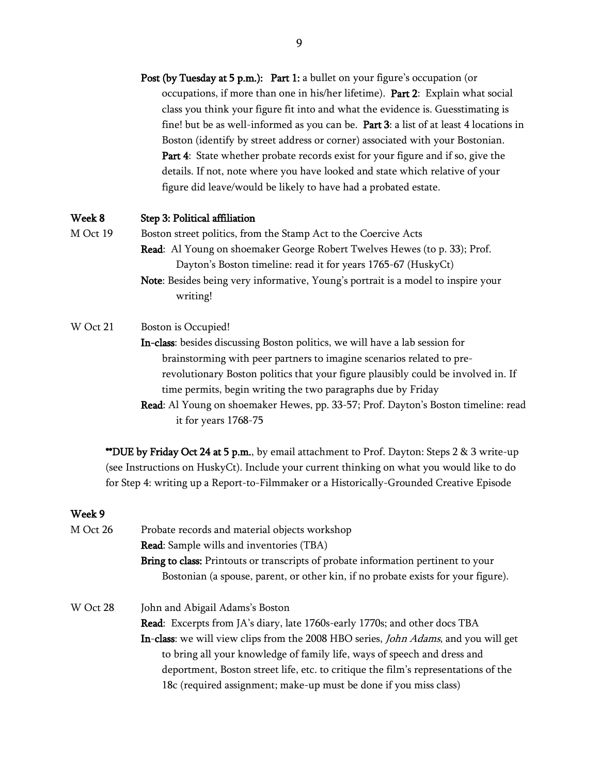Post (by Tuesday at 5 p.m.): Part 1: a bullet on your figure's occupation (or occupations, if more than one in his/her lifetime). Part 2: Explain what social class you think your figure fit into and what the evidence is. Guesstimating is fine! but be as well-informed as you can be. Part 3: a list of at least 4 locations in Boston (identify by street address or corner) associated with your Bostonian. Part 4: State whether probate records exist for your figure and if so, give the details. If not, note where you have looked and state which relative of your figure did leave/would be likely to have had a probated estate.

#### Week 8 Step 3: Political affiliation

- M Oct 19 Boston street politics, from the Stamp Act to the Coercive Acts Read: Al Young on shoemaker George Robert Twelves Hewes (to p. 33); Prof. Dayton's Boston timeline: read it for years 1765-67 (HuskyCt)
	- Note: Besides being very informative, Young's portrait is a model to inspire your writing!

#### W Oct 21 Boston is Occupied!

In-class: besides discussing Boston politics, we will have a lab session for brainstorming with peer partners to imagine scenarios related to prerevolutionary Boston politics that your figure plausibly could be involved in. If time permits, begin writing the two paragraphs due by Friday

Read: Al Young on shoemaker Hewes, pp. 33-57; Prof. Dayton's Boston timeline: read it for years 1768-75

\*\*DUE by Friday Oct 24 at 5 p.m., by email attachment to Prof. Dayton: Steps 2  $\&$  3 write-up (see Instructions on HuskyCt). Include your current thinking on what you would like to do for Step 4: writing up a Report-to-Filmmaker or a Historically-Grounded Creative Episode

#### Week 9

| M Oct 26 | Probate records and material objects workshop                                               |
|----------|---------------------------------------------------------------------------------------------|
|          | <b>Read:</b> Sample wills and inventories (TBA)                                             |
|          | Bring to class: Printouts or transcripts of probate information pertinent to your           |
|          | Bostonian (a spouse, parent, or other kin, if no probate exists for your figure).           |
| W Oct 28 | John and Abigail Adams's Boston                                                             |
|          | <b>Read:</b> Excerpts from JA's diary, late 1760s-early 1770s; and other docs TBA           |
|          | In-class: we will view clips from the 2008 HBO series, <i>John Adams</i> , and you will get |
|          | to bring all your knowledge of family life, ways of speech and dress and                    |
|          | deportment, Boston street life, etc. to critique the film's representations of the          |
|          | 18c (required assignment; make-up must be done if you miss class)                           |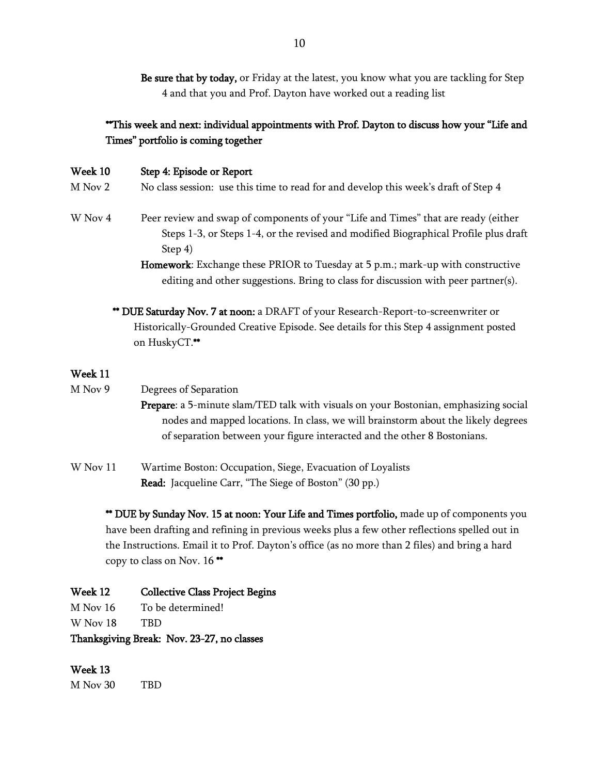Be sure that by today, or Friday at the latest, you know what you are tackling for Step 4 and that you and Prof. Dayton have worked out a reading list

## \*\*This week and next: individual appointments with Prof. Dayton to discuss how your "Life and Times" portfolio is coming together

| <b>Week 10</b> | Step 4: Episode or Report                                                                                                                                                             |
|----------------|---------------------------------------------------------------------------------------------------------------------------------------------------------------------------------------|
| M Nov 2        | No class session: use this time to read for and develop this week's draft of Step 4                                                                                                   |
| W Nov 4        | Peer review and swap of components of your "Life and Times" that are ready (either<br>Steps 1-3, or Steps 1-4, or the revised and modified Biographical Profile plus draft<br>Step 4) |
|                | Homework: Exchange these PRIOR to Tuesday at 5 p.m.; mark-up with constructive                                                                                                        |
|                | editing and other suggestions. Bring to class for discussion with peer partner(s).                                                                                                    |

\*\* DUE Saturday Nov. 7 at noon: a DRAFT of your Research-Report-to-screenwriter or Historically-Grounded Creative Episode. See details for this Step 4 assignment posted on HuskyCT.\*\*

#### Week 11

- M Nov 9 Degrees of Separation
	- Prepare: a 5-minute slam/TED talk with visuals on your Bostonian, emphasizing social nodes and mapped locations. In class, we will brainstorm about the likely degrees of separation between your figure interacted and the other 8 Bostonians.
- W Nov 11 Wartime Boston: Occupation, Siege, Evacuation of Loyalists Read: Jacqueline Carr, "The Siege of Boston" (30 pp.)

\*\* DUE by Sunday Nov. 15 at noon: Your Life and Times portfolio, made up of components you have been drafting and refining in previous weeks plus a few other reflections spelled out in the Instructions. Email it to Prof. Dayton's office (as no more than 2 files) and bring a hard copy to class on Nov. 16 \*\*

### Week 12 Collective Class Project Begins

M Nov 16 To be determined!

W Nov 18 TBD

Thanksgiving Break: Nov. 23-27, no classes

#### Week 13

M Nov 30 TBD